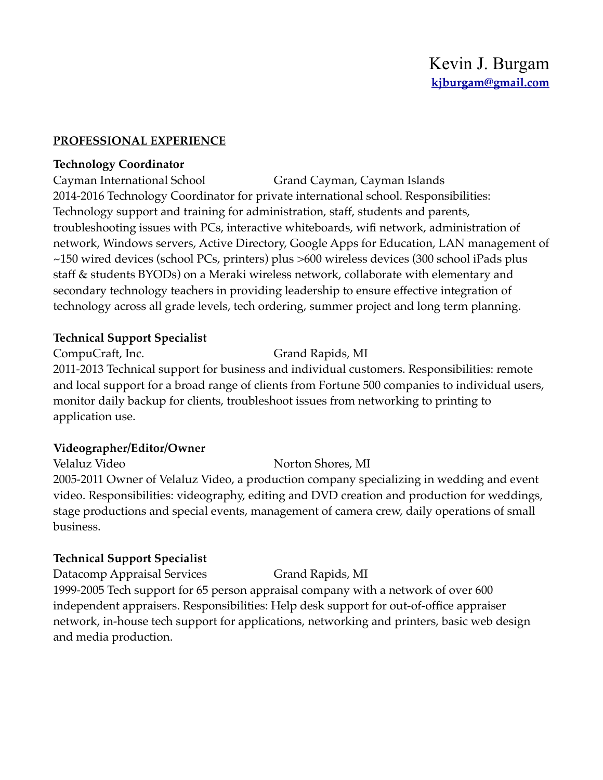#### **PROFESSIONAL EXPERIENCE**

#### **Technology Coordinator**

Cayman International School Grand Cayman, Cayman Islands 2014-2016 Technology Coordinator for private international school. Responsibilities: Technology support and training for administration, staff, students and parents, troubleshooting issues with PCs, interactive whiteboards, wifi network, administration of network, Windows servers, Active Directory, Google Apps for Education, LAN management of ~150 wired devices (school PCs, printers) plus >600 wireless devices (300 school iPads plus staff & students BYODs) on a Meraki wireless network, collaborate with elementary and secondary technology teachers in providing leadership to ensure effective integration of technology across all grade levels, tech ordering, summer project and long term planning.

### **Technical Support Specialist**

CompuCraft, Inc. Grand Rapids, MI 2011-2013 Technical support for business and individual customers. Responsibilities: remote and local support for a broad range of clients from Fortune 500 companies to individual users, monitor daily backup for clients, troubleshoot issues from networking to printing to application use.

#### **Videographer/Editor/Owner**

Velaluz Video Norton Shores, MI 2005-2011 Owner of Velaluz Video, a production company specializing in wedding and event video. Responsibilities: videography, editing and DVD creation and production for weddings, stage productions and special events, management of camera crew, daily operations of small business.

## **Technical Support Specialist**

Datacomp Appraisal Services Grand Rapids, MI 1999-2005 Tech support for 65 person appraisal company with a network of over 600 independent appraisers. Responsibilities: Help desk support for out-of-office appraiser network, in-house tech support for applications, networking and printers, basic web design and media production.